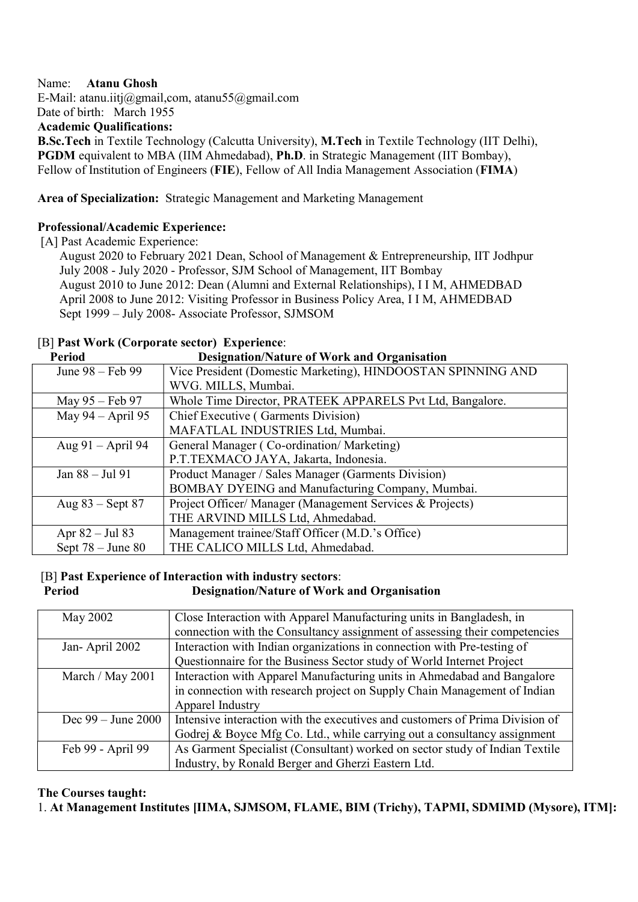#### Name: Atanu Ghosh

E-Mail: atanu.iitj@gmail,com, atanu55@gmail.com

Date of birth: March 1955

Academic Qualifications:

B.Sc.Tech in Textile Technology (Calcutta University), M.Tech in Textile Technology (IIT Delhi), PGDM equivalent to MBA (IIM Ahmedabad), Ph.D. in Strategic Management (IIT Bombay), Fellow of Institution of Engineers (FIE), Fellow of All India Management Association (FIMA)

Area of Specialization: Strategic Management and Marketing Management

## Professional/Academic Experience:

[A] Past Academic Experience:

 August 2020 to February 2021 Dean, School of Management & Entrepreneurship, IIT Jodhpur July 2008 - July 2020 - Professor, SJM School of Management, IIT Bombay August 2010 to June 2012: Dean (Alumni and External Relationships), I I M, AHMEDBAD April 2008 to June 2012: Visiting Professor in Business Policy Area, I I M, AHMEDBAD Sept 1999 – July 2008- Associate Professor, SJMSOM

## [B] Past Work (Corporate sector) Experience:

| <b>Period</b>       | <b>Designation/Nature of Work and Organisation</b>           |
|---------------------|--------------------------------------------------------------|
| June 98 – Feb 99    | Vice President (Domestic Marketing), HINDOOSTAN SPINNING AND |
|                     | WVG. MILLS, Mumbai.                                          |
| May 95 – Feb 97     | Whole Time Director, PRATEEK APPARELS Pvt Ltd, Bangalore.    |
| May 94 – April 95   | Chief Executive (Garments Division)                          |
|                     | MAFATLAL INDUSTRIES Ltd, Mumbai.                             |
| Aug $91 -$ April 94 | General Manager (Co-ordination/Marketing)                    |
|                     | P.T.TEXMACO JAYA, Jakarta, Indonesia.                        |
| Jan 88 – Jul 91     | Product Manager / Sales Manager (Garments Division)          |
|                     | BOMBAY DYEING and Manufacturing Company, Mumbai.             |
| Aug $83$ – Sept 87  | Project Officer/ Manager (Management Services & Projects)    |
|                     | THE ARVIND MILLS Ltd, Ahmedabad.                             |
| Apr $82 -$ Jul $83$ | Management trainee/Staff Officer (M.D.'s Office)             |
| Sept $78 - June 80$ | THE CALICO MILLS Ltd, Ahmedabad.                             |

#### [B] Past Experience of Interaction with industry sectors: Period Designation/Nature of Work and Organisation

| May 2002               | Close Interaction with Apparel Manufacturing units in Bangladesh, in         |
|------------------------|------------------------------------------------------------------------------|
|                        | connection with the Consultancy assignment of assessing their competencies   |
| Jan-April 2002         | Interaction with Indian organizations in connection with Pre-testing of      |
|                        | Questionnaire for the Business Sector study of World Internet Project        |
| March / May 2001       | Interaction with Apparel Manufacturing units in Ahmedabad and Bangalore      |
|                        | in connection with research project on Supply Chain Management of Indian     |
|                        | Apparel Industry                                                             |
| Dec $99 -$ June $2000$ | Intensive interaction with the executives and customers of Prima Division of |
|                        | Godrej & Boyce Mfg Co. Ltd., while carrying out a consultancy assignment     |
| Feb 99 - April 99      | As Garment Specialist (Consultant) worked on sector study of Indian Textile  |
|                        | Industry, by Ronald Berger and Gherzi Eastern Ltd.                           |

#### The Courses taught:

1. At Management Institutes [IIMA, SJMSOM, FLAME, BIM (Trichy), TAPMI, SDMIMD (Mysore), ITM]: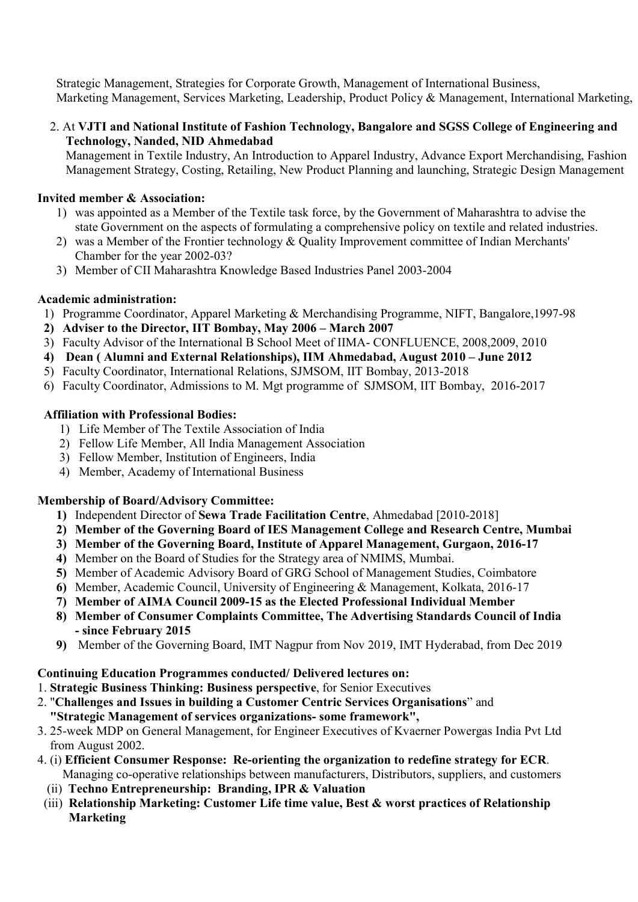Strategic Management, Strategies for Corporate Growth, Management of International Business, Marketing Management, Services Marketing, Leadership, Product Policy & Management, International Marketing,

 2. At VJTI and National Institute of Fashion Technology, Bangalore and SGSS College of Engineering and Technology, Nanded, NID Ahmedabad

 Management in Textile Industry, An Introduction to Apparel Industry, Advance Export Merchandising, Fashion Management Strategy, Costing, Retailing, New Product Planning and launching, Strategic Design Management

## Invited member & Association:

- 1) was appointed as a Member of the Textile task force, by the Government of Maharashtra to advise the state Government on the aspects of formulating a comprehensive policy on textile and related industries.
- 2) was a Member of the Frontier technology & Quality Improvement committee of Indian Merchants' Chamber for the year 2002-03?
- 3) Member of CII Maharashtra Knowledge Based Industries Panel 2003-2004

#### Academic administration:

- 1) Programme Coordinator, Apparel Marketing & Merchandising Programme, NIFT, Bangalore,1997-98
- 2) Adviser to the Director, IIT Bombay, May 2006 March 2007
- 3) Faculty Advisor of the International B School Meet of IIMA- CONFLUENCE, 2008,2009, 2010
- 4) Dean ( Alumni and External Relationships), IIM Ahmedabad, August 2010 June 2012
- 5) Faculty Coordinator, International Relations, SJMSOM, IIT Bombay, 2013-2018
- 6) Faculty Coordinator, Admissions to M. Mgt programme of SJMSOM, IIT Bombay, 2016-2017

#### Affiliation with Professional Bodies:

- 1) Life Member of The Textile Association of India
- 2) Fellow Life Member, All India Management Association
- 3) Fellow Member, Institution of Engineers, India
- 4) Member, Academy of International Business

#### Membership of Board/Advisory Committee:

- 1) Independent Director of Sewa Trade Facilitation Centre, Ahmedabad [2010-2018]
- 2) Member of the Governing Board of IES Management College and Research Centre, Mumbai
- 3) Member of the Governing Board, Institute of Apparel Management, Gurgaon, 2016-17
- 4) Member on the Board of Studies for the Strategy area of NMIMS, Mumbai.
- 5) Member of Academic Advisory Board of GRG School of Management Studies, Coimbatore
- 6) Member, Academic Council, University of Engineering & Management, Kolkata, 2016-17
- 7) Member of AIMA Council 2009-15 as the Elected Professional Individual Member
- 8) Member of Consumer Complaints Committee, The Advertising Standards Council of India - since February 2015
- 9) Member of the Governing Board, IMT Nagpur from Nov 2019, IMT Hyderabad, from Dec 2019

## Continuing Education Programmes conducted/ Delivered lectures on:

- 1. Strategic Business Thinking: Business perspective, for Senior Executives
- 2. "Challenges and Issues in building a Customer Centric Services Organisations" and "Strategic Management of services organizations- some framework",
- 3. 25-week MDP on General Management, for Engineer Executives of Kvaerner Powergas India Pvt Ltd from August 2002.
- 4. (i) Efficient Consumer Response: Re-orienting the organization to redefine strategy for ECR. Managing co-operative relationships between manufacturers, Distributors, suppliers, and customers
	- (ii) Techno Entrepreneurship: Branding, IPR & Valuation
- (iii) Relationship Marketing: Customer Life time value, Best & worst practices of Relationship Marketing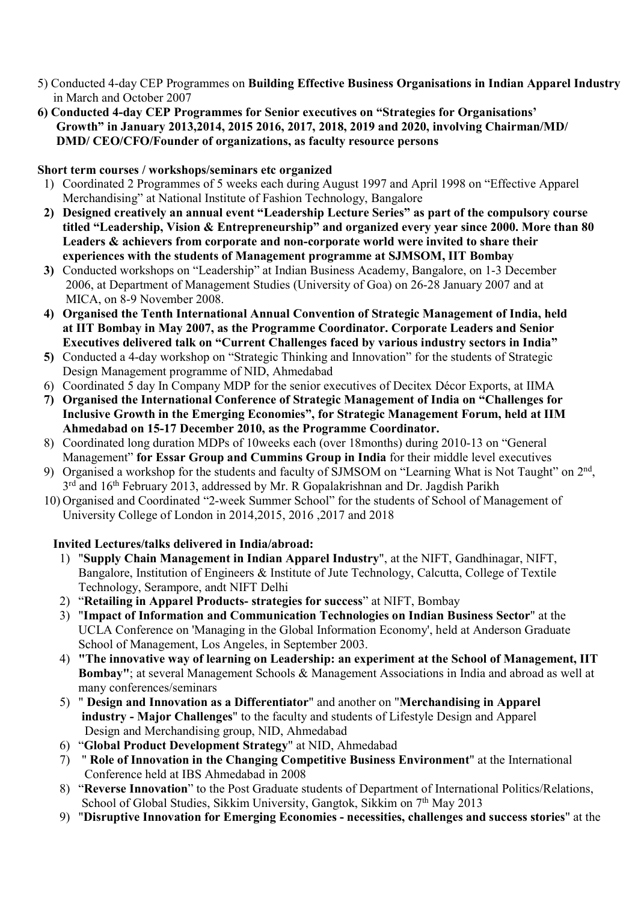- 5) Conducted 4-day CEP Programmes on Building Effective Business Organisations in Indian Apparel Industry in March and October 2007
- 6) Conducted 4-day CEP Programmes for Senior executives on "Strategies for Organisations' Growth" in January 2013,2014, 2015 2016, 2017, 2018, 2019 and 2020, involving Chairman/MD/ DMD/ CEO/CFO/Founder of organizations, as faculty resource persons

# Short term courses / workshops/seminars etc organized

- 1) Coordinated 2 Programmes of 5 weeks each during August 1997 and April 1998 on "Effective Apparel Merchandising" at National Institute of Fashion Technology, Bangalore
- 2) Designed creatively an annual event "Leadership Lecture Series" as part of the compulsory course titled "Leadership, Vision & Entrepreneurship" and organized every year since 2000. More than 80 Leaders & achievers from corporate and non-corporate world were invited to share their experiences with the students of Management programme at SJMSOM, IIT Bombay
- 3) Conducted workshops on "Leadership" at Indian Business Academy, Bangalore, on 1-3 December 2006, at Department of Management Studies (University of Goa) on 26-28 January 2007 and at MICA, on 8-9 November 2008.
- 4) Organised the Tenth International Annual Convention of Strategic Management of India, held at IIT Bombay in May 2007, as the Programme Coordinator. Corporate Leaders and Senior Executives delivered talk on "Current Challenges faced by various industry sectors in India"
- 5) Conducted a 4-day workshop on "Strategic Thinking and Innovation" for the students of Strategic Design Management programme of NID, Ahmedabad
- 6) Coordinated 5 day In Company MDP for the senior executives of Decitex Décor Exports, at IIMA
- 7) Organised the International Conference of Strategic Management of India on "Challenges for Inclusive Growth in the Emerging Economies", for Strategic Management Forum, held at IIM Ahmedabad on 15-17 December 2010, as the Programme Coordinator.
- 8) Coordinated long duration MDPs of 10weeks each (over 18months) during 2010-13 on "General Management" for Essar Group and Cummins Group in India for their middle level executives
- 9) Organised a workshop for the students and faculty of SJMSOM on "Learning What is Not Taught" on 2<sup>nd</sup>, 3<sup>rd</sup> and 16<sup>th</sup> February 2013, addressed by Mr. R Gopalakrishnan and Dr. Jagdish Parikh
- 10) Organised and Coordinated "2-week Summer School" for the students of School of Management of University College of London in 2014,2015, 2016 ,2017 and 2018

## Invited Lectures/talks delivered in India/abroad:

- 1) "Supply Chain Management in Indian Apparel Industry", at the NIFT, Gandhinagar, NIFT, Bangalore, Institution of Engineers & Institute of Jute Technology, Calcutta, College of Textile Technology, Serampore, andt NIFT Delhi
- 2) "Retailing in Apparel Products- strategies for success" at NIFT, Bombay
- 3) "Impact of Information and Communication Technologies on Indian Business Sector" at the UCLA Conference on 'Managing in the Global Information Economy', held at Anderson Graduate School of Management, Los Angeles, in September 2003.
- 4) "The innovative way of learning on Leadership: an experiment at the School of Management, IIT Bombay"; at several Management Schools & Management Associations in India and abroad as well at many conferences/seminars
- 5) " Design and Innovation as a Differentiator" and another on "Merchandising in Apparel industry - Major Challenges" to the faculty and students of Lifestyle Design and Apparel Design and Merchandising group, NID, Ahmedabad
- 6) "Global Product Development Strategy" at NID, Ahmedabad
- 7) " Role of Innovation in the Changing Competitive Business Environment" at the International Conference held at IBS Ahmedabad in 2008
- 8) "Reverse Innovation" to the Post Graduate students of Department of International Politics/Relations, School of Global Studies, Sikkim University, Gangtok, Sikkim on 7<sup>th</sup> May 2013
- 9) "Disruptive Innovation for Emerging Economies necessities, challenges and success stories" at the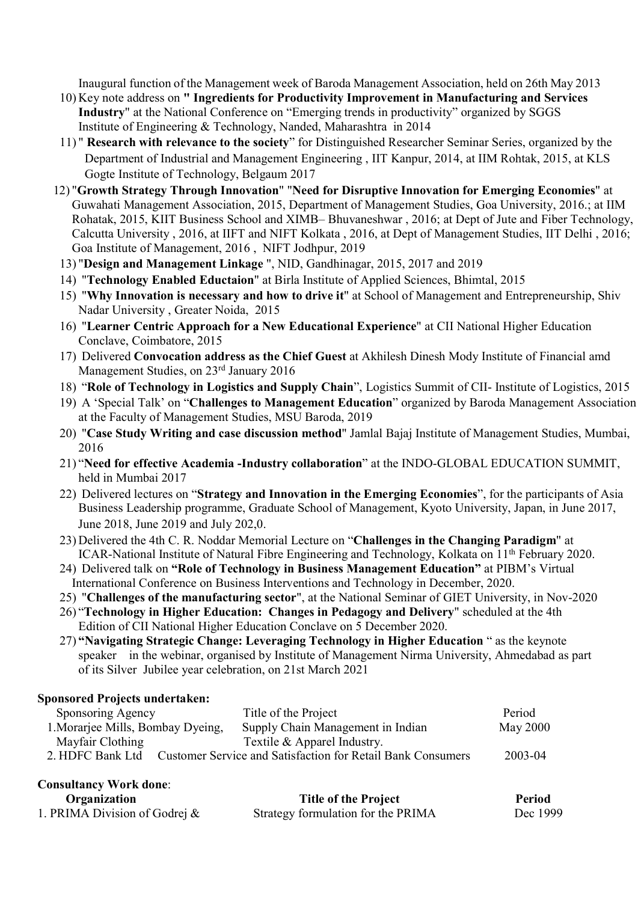Inaugural function of the Management week of Baroda Management Association, held on 26th May 2013

- 10) Key note address on " Ingredients for Productivity Improvement in Manufacturing and Services Industry" at the National Conference on "Emerging trends in productivity" organized by SGGS Institute of Engineering & Technology, Nanded, Maharashtra in 2014
- 11) " Research with relevance to the society" for Distinguished Researcher Seminar Series, organized by the Department of Industrial and Management Engineering , IIT Kanpur, 2014, at IIM Rohtak, 2015, at KLS Gogte Institute of Technology, Belgaum 2017
- 12) "Growth Strategy Through Innovation" "Need for Disruptive Innovation for Emerging Economies" at Guwahati Management Association, 2015, Department of Management Studies, Goa University, 2016.; at IIM Rohatak, 2015, KIIT Business School and XIMB– Bhuvaneshwar , 2016; at Dept of Jute and Fiber Technology, Calcutta University , 2016, at IIFT and NIFT Kolkata , 2016, at Dept of Management Studies, IIT Delhi , 2016; Goa Institute of Management, 2016 , NIFT Jodhpur, 2019
- 13) "Design and Management Linkage ", NID, Gandhinagar, 2015, 2017 and 2019
- 14) "Technology Enabled Eductaion" at Birla Institute of Applied Sciences, Bhimtal, 2015
- 15) "Why Innovation is necessary and how to drive it" at School of Management and Entrepreneurship, Shiv Nadar University , Greater Noida, 2015
- 16) "Learner Centric Approach for a New Educational Experience" at CII National Higher Education Conclave, Coimbatore, 2015
- 17) Delivered Convocation address as the Chief Guest at Akhilesh Dinesh Mody Institute of Financial amd Management Studies, on 23<sup>rd</sup> January 2016
- 18) "Role of Technology in Logistics and Supply Chain", Logistics Summit of CII- Institute of Logistics, 2015
- 19) A 'Special Talk' on "Challenges to Management Education" organized by Baroda Management Association at the Faculty of Management Studies, MSU Baroda, 2019
- 20) "Case Study Writing and case discussion method" Jamlal Bajaj Institute of Management Studies, Mumbai, 2016
- 21) "Need for effective Academia -Industry collaboration" at the INDO-GLOBAL EDUCATION SUMMIT, held in Mumbai 2017
- 22) Delivered lectures on "Strategy and Innovation in the Emerging Economies", for the participants of Asia Business Leadership programme, Graduate School of Management, Kyoto University, Japan, in June 2017, June 2018, June 2019 and July 202,0.
- 23) Delivered the 4th C. R. Noddar Memorial Lecture on "Challenges in the Changing Paradigm" at ICAR-National Institute of Natural Fibre Engineering and Technology, Kolkata on 11<sup>th</sup> February 2020.
- 24) Delivered talk on "Role of Technology in Business Management Education" at PIBM's Virtual International Conference on Business Interventions and Technology in December, 2020.
- 25) "Challenges of the manufacturing sector", at the National Seminar of GIET University, in Nov-2020
- 26) "Technology in Higher Education: Changes in Pedagogy and Delivery" scheduled at the 4th Edition of CII National Higher Education Conclave on 5 December 2020.
- 27) "Navigating Strategic Change: Leveraging Technology in Higher Education " as the keynote speaker in the webinar, organised by Institute of Management Nirma University, Ahmedabad as part of its Silver Jubilee year celebration, on 21st March 2021

#### Sponsored Projects undertaken:

| Sponsoring Agency                 |  | Title of the Project                                        | Period   |
|-----------------------------------|--|-------------------------------------------------------------|----------|
| 1. Morarjee Mills, Bombay Dyeing, |  | Supply Chain Management in Indian                           | May 2000 |
| Mayfair Clothing                  |  | Textile & Apparel Industry.                                 |          |
| 2. HDFC Bank Ltd                  |  | Customer Service and Satisfaction for Retail Bank Consumers | 2003-04  |
|                                   |  |                                                             |          |

## Consultancy Work done:

| Organization                     | <b>Title of the Project</b>        | Period   |
|----------------------------------|------------------------------------|----------|
| 1. PRIMA Division of Godrej $\&$ | Strategy formulation for the PRIMA | Dec 1999 |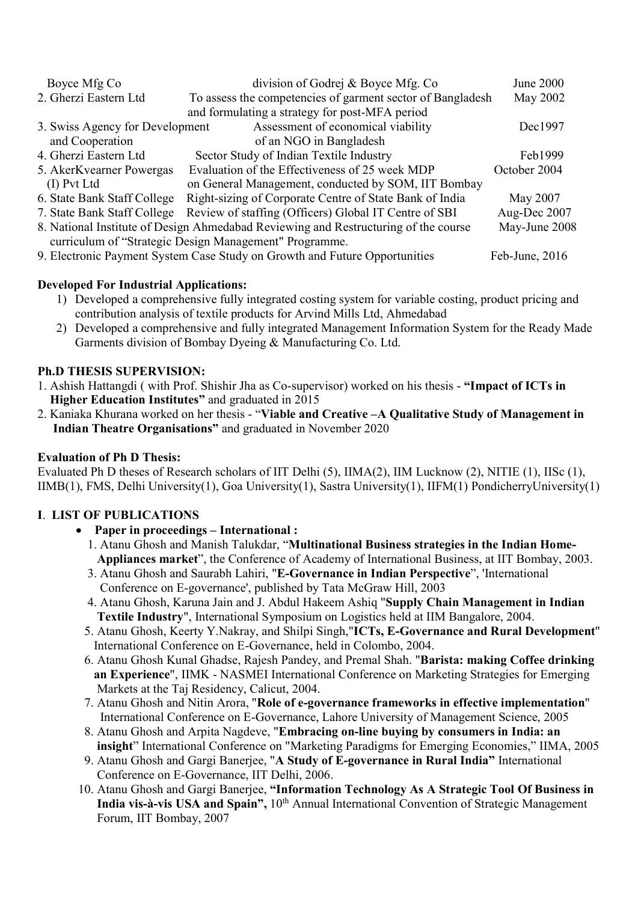|                                                                                     | Boyce Mfg Co                                           | division of Godrej & Boyce Mfg. Co                         | June 2000    |
|-------------------------------------------------------------------------------------|--------------------------------------------------------|------------------------------------------------------------|--------------|
|                                                                                     | 2. Gherzi Eastern Ltd                                  | To assess the competencies of garment sector of Bangladesh | May 2002     |
|                                                                                     |                                                        | and formulating a strategy for post-MFA period             |              |
|                                                                                     | 3. Swiss Agency for Development                        | Assessment of economical viability                         | Dec1997      |
|                                                                                     | and Cooperation                                        | of an NGO in Bangladesh                                    |              |
|                                                                                     | 4. Gherzi Eastern Ltd                                  | Sector Study of Indian Textile Industry                    | Feb1999      |
|                                                                                     | 5. AkerKvearner Powergas                               | Evaluation of the Effectiveness of 25 week MDP             | October 2004 |
|                                                                                     | (I) Pvt Ltd                                            | on General Management, conducted by SOM, IIT Bombay        |              |
|                                                                                     | 6. State Bank Staff College                            | Right-sizing of Corporate Centre of State Bank of India    | May 2007     |
|                                                                                     | 7. State Bank Staff College                            | Review of staffing (Officers) Global IT Centre of SBI      | Aug-Dec 2007 |
| 8. National Institute of Design Ahmedabad Reviewing and Restructuring of the course | May-June 2008                                          |                                                            |              |
|                                                                                     | curriculum of "Strategic Design Management" Programme. |                                                            |              |
| 9. Electronic Payment System Case Study on Growth and Future Opportunities          | Feb-June, 2016                                         |                                                            |              |

# Developed For Industrial Applications:

- 1) Developed a comprehensive fully integrated costing system for variable costing, product pricing and contribution analysis of textile products for Arvind Mills Ltd, Ahmedabad
- 2) Developed a comprehensive and fully integrated Management Information System for the Ready Made Garments division of Bombay Dyeing & Manufacturing Co. Ltd.

## Ph.D THESIS SUPERVISION:

- 1. Ashish Hattangdi ( with Prof. Shishir Jha as Co-supervisor) worked on his thesis "Impact of ICTs in Higher Education Institutes" and graduated in 2015
- 2. Kaniaka Khurana worked on her thesis "Viable and Creative –A Qualitative Study of Management in Indian Theatre Organisations" and graduated in November 2020

# Evaluation of Ph D Thesis:

Evaluated Ph D theses of Research scholars of IIT Delhi (5), IIMA(2), IIM Lucknow (2), NITIE (1), IISc (1), IIMB(1), FMS, Delhi University(1), Goa University(1), Sastra University(1), IIFM(1) PondicherryUniversity(1)

# I. LIST OF PUBLICATIONS

- Paper in proceedings International :
	- 1. Atanu Ghosh and Manish Talukdar, "Multinational Business strategies in the Indian Home- Appliances market", the Conference of Academy of International Business, at IIT Bombay, 2003.
	- 3. Atanu Ghosh and Saurabh Lahiri, "E-Governance in Indian Perspective", 'International Conference on E-governance', published by Tata McGraw Hill, 2003
	- 4. Atanu Ghosh, Karuna Jain and J. Abdul Hakeem Ashiq "Supply Chain Management in Indian Textile Industry", International Symposium on Logistics held at IIM Bangalore, 2004.
	- 5. Atanu Ghosh, Keerty Y.Nakray, and Shilpi Singh,"ICTs, E-Governance and Rural Development" International Conference on E-Governance, held in Colombo, 2004.
	- 6. Atanu Ghosh Kunal Ghadse, Rajesh Pandey, and Premal Shah. "Barista: making Coffee drinking an Experience", IIMK - NASMEI International Conference on Marketing Strategies for Emerging Markets at the Taj Residency, Calicut, 2004.
	- 7. Atanu Ghosh and Nitin Arora, "Role of e-governance frameworks in effective implementation" International Conference on E-Governance, Lahore University of Management Science, 2005
	- 8. Atanu Ghosh and Arpita Nagdeve, "Embracing on-line buying by consumers in India: an insight" International Conference on "Marketing Paradigms for Emerging Economies," IIMA, 2005
	- 9. Atanu Ghosh and Gargi Banerjee, "A Study of E-governance in Rural India" International Conference on E-Governance, IIT Delhi, 2006.
- 10. Atanu Ghosh and Gargi Banerjee, "Information Technology As A Strategic Tool Of Business in India vis-à-vis USA and Spain", 10<sup>th</sup> Annual International Convention of Strategic Management Forum, IIT Bombay, 2007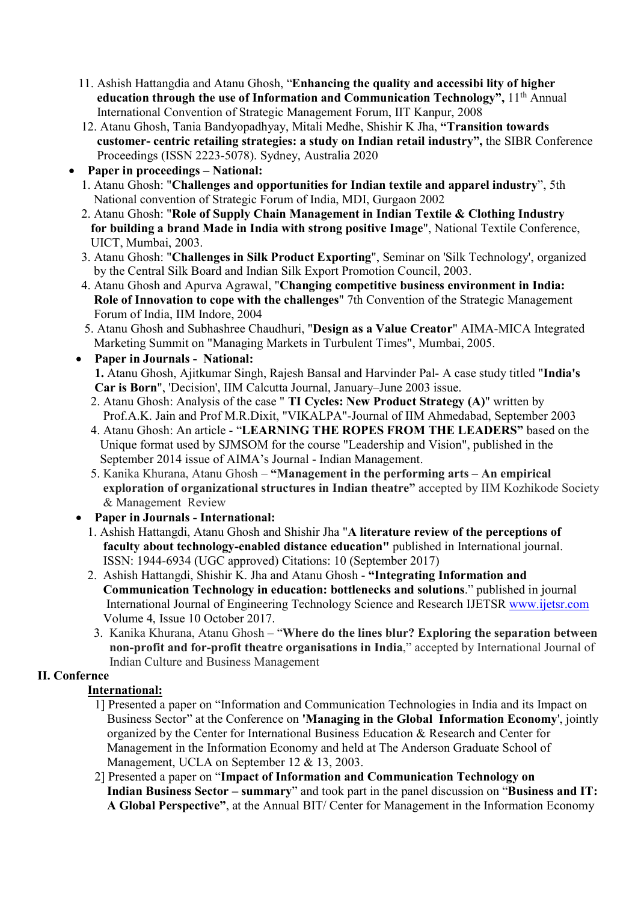- 11. Ashish Hattangdia and Atanu Ghosh, "Enhancing the quality and accessibi lity of higher education through the use of Information and Communication Technology",  $11<sup>th</sup>$  Annual International Convention of Strategic Management Forum, IIT Kanpur, 2008
- 12. Atanu Ghosh, Tania Bandyopadhyay, Mitali Medhe, Shishir K Jha, "Transition towards customer- centric retailing strategies: a study on Indian retail industry", the SIBR Conference Proceedings (ISSN 2223-5078). Sydney, Australia 2020
- Paper in proceedings National:
	- 1. Atanu Ghosh: "Challenges and opportunities for Indian textile and apparel industry", 5th National convention of Strategic Forum of India, MDI, Gurgaon 2002
	- 2. Atanu Ghosh: "Role of Supply Chain Management in Indian Textile & Clothing Industry for building a brand Made in India with strong positive Image", National Textile Conference, UICT, Mumbai, 2003.
	- 3. Atanu Ghosh: "Challenges in Silk Product Exporting", Seminar on 'Silk Technology', organized by the Central Silk Board and Indian Silk Export Promotion Council, 2003.
	- 4. Atanu Ghosh and Apurva Agrawal, "Changing competitive business environment in India: Role of Innovation to cope with the challenges" 7th Convention of the Strategic Management Forum of India, IIM Indore, 2004
	- 5. Atanu Ghosh and Subhashree Chaudhuri, "Design as a Value Creator" AIMA-MICA Integrated Marketing Summit on "Managing Markets in Turbulent Times", Mumbai, 2005.
	- Paper in Journals National: 1. Atanu Ghosh, Ajitkumar Singh, Rajesh Bansal and Harvinder Pal- A case study titled "India's Car is Born", 'Decision', IIM Calcutta Journal, January–June 2003 issue.
		- 2. Atanu Ghosh: Analysis of the case " TI Cycles: New Product Strategy (A)" written by Prof.A.K. Jain and Prof M.R.Dixit, "VIKALPA"-Journal of IIM Ahmedabad, September 2003
		- 4. Atanu Ghosh: An article "LEARNING THE ROPES FROM THE LEADERS" based on the Unique format used by SJMSOM for the course "Leadership and Vision", published in the September 2014 issue of AIMA's Journal - Indian Management.
		- 5. Kanika Khurana, Atanu Ghosh "Management in the performing arts An empirical exploration of organizational structures in Indian theatre" accepted by IIM Kozhikode Society & Management Review
	- Paper in Journals International:
		- 1. Ashish Hattangdi, Atanu Ghosh and Shishir Jha "A literature review of the perceptions of faculty about technology-enabled distance education" published in International journal. ISSN: 1944-6934 (UGC approved) Citations: 10 (September 2017)
		- 2. Ashish Hattangdi, Shishir K. Jha and Atanu Ghosh "Integrating Information and Communication Technology in education: bottlenecks and solutions." published in journal International Journal of Engineering Technology Science and Research IJETSR www.ijetsr.com Volume 4, Issue 10 October 2017.
		- 3. Kanika Khurana, Atanu Ghosh "Where do the lines blur? Exploring the separation between non-profit and for-profit theatre organisations in India," accepted by International Journal of Indian Culture and Business Management

# II. Confernce

# International:

- 1] Presented a paper on "Information and Communication Technologies in India and its Impact on Business Sector" at the Conference on **'Managing in the Global Information Economy'**, jointly organized by the Center for International Business Education & Research and Center for Management in the Information Economy and held at The Anderson Graduate School of Management, UCLA on September 12 & 13, 2003.
- 2] Presented a paper on "Impact of Information and Communication Technology on Indian Business Sector – summary" and took part in the panel discussion on "Business and IT: A Global Perspective", at the Annual BIT/ Center for Management in the Information Economy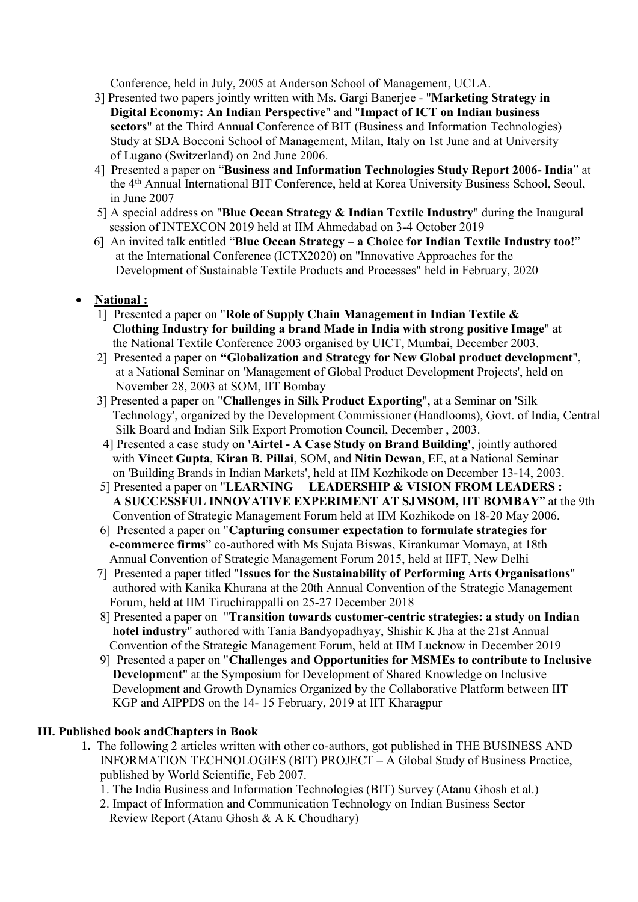Conference, held in July, 2005 at Anderson School of Management, UCLA.

- 3] Presented two papers jointly written with Ms. Gargi Banerjee "Marketing Strategy in Digital Economy: An Indian Perspective" and "Impact of ICT on Indian business sectors" at the Third Annual Conference of BIT (Business and Information Technologies) Study at SDA Bocconi School of Management, Milan, Italy on 1st June and at University of Lugano (Switzerland) on 2nd June 2006.
- 4] Presented a paper on "Business and Information Technologies Study Report 2006- India" at the 4th Annual International BIT Conference, held at Korea University Business School, Seoul, in June 2007
- 5] A special address on "Blue Ocean Strategy  $\&$  Indian Textile Industry" during the Inaugural session of INTEXCON 2019 held at IIM Ahmedabad on 3-4 October 2019
- 6] An invited talk entitled "Blue Ocean Strategy a Choice for Indian Textile Industry too!" at the International Conference (ICTX2020) on "Innovative Approaches for the Development of Sustainable Textile Products and Processes" held in February, 2020

# National :

- 1] Presented a paper on "Role of Supply Chain Management in Indian Textile & Clothing Industry for building a brand Made in India with strong positive Image" at the National Textile Conference 2003 organised by UICT, Mumbai, December 2003.
- 2] Presented a paper on "Globalization and Strategy for New Global product development", at a National Seminar on 'Management of Global Product Development Projects', held on November 28, 2003 at SOM, IIT Bombay
- 3] Presented a paper on "Challenges in Silk Product Exporting", at a Seminar on 'Silk Technology', organized by the Development Commissioner (Handlooms), Govt. of India, Central Silk Board and Indian Silk Export Promotion Council, December , 2003.
- 4] Presented a case study on 'Airtel A Case Study on Brand Building', jointly authored with Vineet Gupta, Kiran B. Pillai, SOM, and Nitin Dewan, EE, at a National Seminar on 'Building Brands in Indian Markets', held at IIM Kozhikode on December 13-14, 2003.
- 5] Presented a paper on "LEARNING LEADERSHIP & VISION FROM LEADERS : A SUCCESSFUL INNOVATIVE EXPERIMENT AT SJMSOM, IIT BOMBAY" at the 9th Convention of Strategic Management Forum held at IIM Kozhikode on 18-20 May 2006.
- 6] Presented a paper on "Capturing consumer expectation to formulate strategies for e-commerce firms" co-authored with Ms Sujata Biswas, Kirankumar Momaya, at 18th Annual Convention of Strategic Management Forum 2015, held at IIFT, New Delhi
- 7] Presented a paper titled "Issues for the Sustainability of Performing Arts Organisations" authored with Kanika Khurana at the 20th Annual Convention of the Strategic Management Forum, held at IIM Tiruchirappalli on 25-27 December 2018
- 8] Presented a paper on "Transition towards customer-centric strategies: a study on Indian hotel industry" authored with Tania Bandyopadhyay, Shishir K Jha at the 21st Annual Convention of the Strategic Management Forum, held at IIM Lucknow in December 2019
- 9] Presented a paper on "Challenges and Opportunities for MSMEs to contribute to Inclusive Development" at the Symposium for Development of Shared Knowledge on Inclusive Development and Growth Dynamics Organized by the Collaborative Platform between IIT KGP and AIPPDS on the 14- 15 February, 2019 at IIT Kharagpur

## III. Published book andChapters in Book

- 1. The following 2 articles written with other co-authors, got published in THE BUSINESS AND INFORMATION TECHNOLOGIES (BIT) PROJECT – A Global Study of Business Practice, published by World Scientific, Feb 2007.
	- 1. The India Business and Information Technologies (BIT) Survey (Atanu Ghosh et al.)
	- 2. Impact of Information and Communication Technology on Indian Business Sector Review Report (Atanu Ghosh & A K Choudhary)